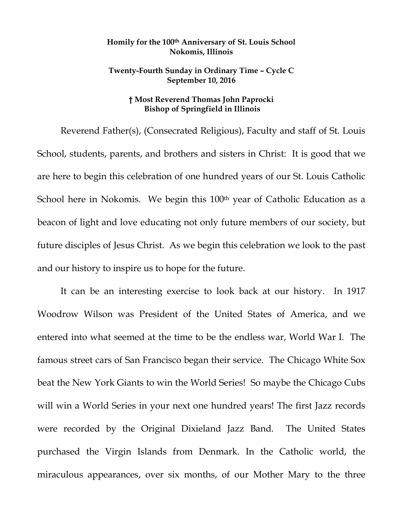## **Homily for the 100th Anniversary of St. Louis School Nokomis, Illinois**

## **Twenty-Fourth Sunday in Ordinary Time – Cycle C September 10, 2016**

## **† Most Reverend Thomas John Paprocki Bishop of Springfield in Illinois**

Reverend Father(s), (Consecrated Religious), Faculty and staff of St. Louis School, students, parents, and brothers and sisters in Christ: It is good that we are here to begin this celebration of one hundred years of our St. Louis Catholic School here in Nokomis. We begin this 100<sup>th</sup> year of Catholic Education as a beacon of light and love educating not only future members of our society, but future disciples of Jesus Christ. As we begin this celebration we look to the past and our history to inspire us to hope for the future.

It can be an interesting exercise to look back at our history. In 1917 Woodrow Wilson was President of the United States of America, and we entered into what seemed at the time to be the endless war, World War I. The famous street cars of San Francisco began their service. The Chicago White Sox beat the New York Giants to win the World Series! So maybe the Chicago Cubs will win a World Series in your next one hundred years! The first Jazz records were recorded by the Original Dixieland Jazz Band. The United States purchased the Virgin Islands from Denmark. In the Catholic world, the miraculous appearances, over six months, of our Mother Mary to the three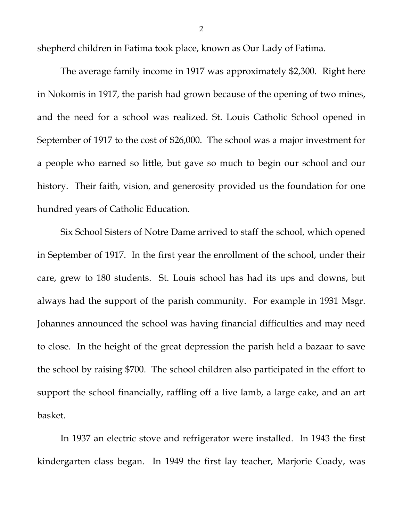shepherd children in Fatima took place, known as Our Lady of Fatima.

The average family income in 1917 was approximately \$2,300. Right here in Nokomis in 1917, the parish had grown because of the opening of two mines, and the need for a school was realized. St. Louis Catholic School opened in September of 1917 to the cost of \$26,000. The school was a major investment for a people who earned so little, but gave so much to begin our school and our history. Their faith, vision, and generosity provided us the foundation for one hundred years of Catholic Education.

Six School Sisters of Notre Dame arrived to staff the school, which opened in September of 1917. In the first year the enrollment of the school, under their care, grew to 180 students. St. Louis school has had its ups and downs, but always had the support of the parish community. For example in 1931 Msgr. Johannes announced the school was having financial difficulties and may need to close. In the height of the great depression the parish held a bazaar to save the school by raising \$700. The school children also participated in the effort to support the school financially, raffling off a live lamb, a large cake, and an art basket.

In 1937 an electric stove and refrigerator were installed. In 1943 the first kindergarten class began. In 1949 the first lay teacher, Marjorie Coady, was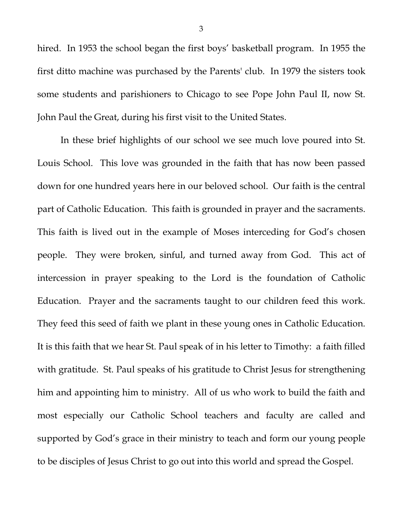hired. In 1953 the school began the first boys' basketball program. In 1955 the first ditto machine was purchased by the Parents' club. In 1979 the sisters took some students and parishioners to Chicago to see Pope John Paul II, now St. John Paul the Great, during his first visit to the United States.

In these brief highlights of our school we see much love poured into St. Louis School. This love was grounded in the faith that has now been passed down for one hundred years here in our beloved school. Our faith is the central part of Catholic Education. This faith is grounded in prayer and the sacraments. This faith is lived out in the example of Moses interceding for God's chosen people. They were broken, sinful, and turned away from God. This act of intercession in prayer speaking to the Lord is the foundation of Catholic Education. Prayer and the sacraments taught to our children feed this work. They feed this seed of faith we plant in these young ones in Catholic Education. It is this faith that we hear St. Paul speak of in his letter to Timothy: a faith filled with gratitude. St. Paul speaks of his gratitude to Christ Jesus for strengthening him and appointing him to ministry. All of us who work to build the faith and most especially our Catholic School teachers and faculty are called and supported by God's grace in their ministry to teach and form our young people to be disciples of Jesus Christ to go out into this world and spread the Gospel.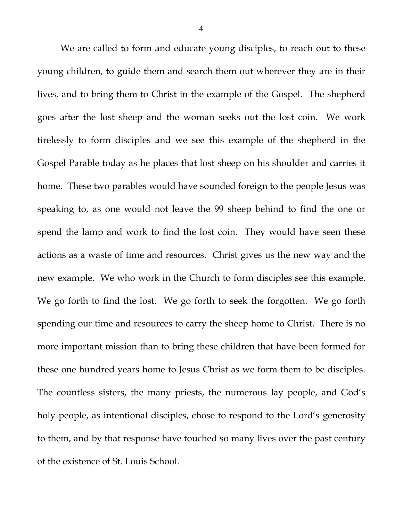We are called to form and educate young disciples, to reach out to these young children, to guide them and search them out wherever they are in their lives, and to bring them to Christ in the example of the Gospel. The shepherd goes after the lost sheep and the woman seeks out the lost coin. We work tirelessly to form disciples and we see this example of the shepherd in the Gospel Parable today as he places that lost sheep on his shoulder and carries it home. These two parables would have sounded foreign to the people Jesus was speaking to, as one would not leave the 99 sheep behind to find the one or spend the lamp and work to find the lost coin. They would have seen these actions as a waste of time and resources. Christ gives us the new way and the new example. We who work in the Church to form disciples see this example. We go forth to find the lost. We go forth to seek the forgotten. We go forth spending our time and resources to carry the sheep home to Christ. There is no more important mission than to bring these children that have been formed for these one hundred years home to Jesus Christ as we form them to be disciples. The countless sisters, the many priests, the numerous lay people, and God's holy people, as intentional disciples, chose to respond to the Lord's generosity to them, and by that response have touched so many lives over the past century of the existence of St. Louis School.